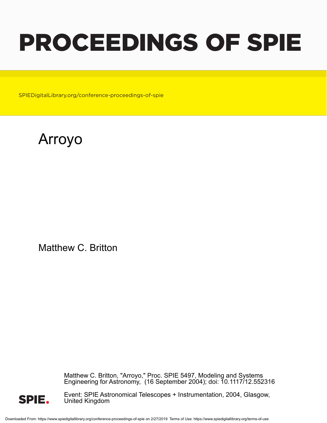# PROCEEDINGS OF SPIE

SPIEDigitalLibrary.org/conference-proceedings-of-spie

## Arroyo

Matthew C. Britton

Matthew C. Britton, "Arroyo," Proc. SPIE 5497, Modeling and Systems Engineering for Astronomy, (16 September 2004); doi: 10.1117/12.552316



Event: SPIE Astronomical Telescopes + Instrumentation, 2004, Glasgow, United Kingdom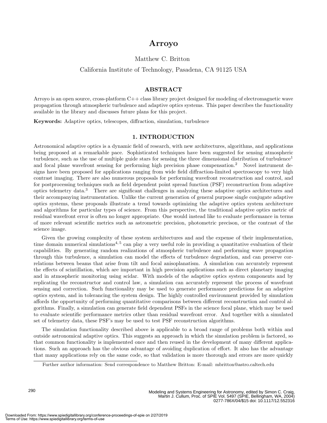### **Arroyo**

#### Matthew C. Britton

#### California Institute of Technology, Pasadena, CA 91125 USA

#### **ABSTRACT**

Arroyo is an open source, cross-platform C++ class library project designed for modeling of electromagnetic wave propagation through atmospheric turbulence and adaptive optics systems. This paper describes the functionality available in the library and discusses future plans for this project.

**Keywords:** Adaptive optics, telescopes, diffraction, simulation, turbulence

#### **1. INTRODUCTION**

Astronomical adaptive optics is a dynamic field of research, with new architectures, algorithms, and applications being proposed at a remarkable pace. Sophisticated techniques have been suggested for sensing atmospheric turbulence, such as the use of multiple guide stars for sensing the three dimensional distribution of turbulence<sup>1</sup> and focal plane wavefront sensing for performing high precision phase compensation.<sup>2</sup> Novel instrument designs have been proposed for applications ranging from wide field diffraction-limited spectroscopy to very high contrast imaging. There are also numerous proposals for performing wavefront reconstruction and control, and for postprocessing techniques such as field dependent point spread function (PSF) reconstruction from adaptive optics telemetry data.<sup>3</sup> There are significant challenges in analyzing these adaptive optics architectures and their accompanying instrumentation. Unlike the current generation of general purpose single conjugate adaptive optics systems, these proposals illustrate a trend towards optimizing the adaptive optics system architecture and algorithms for particular types of science. From this perspective, the traditional adaptive optics metric of residual wavefront error is often no longer appropriate. One would instead like to evaluate performance in terms of more relevant scientific metrics such as astrometric precision, photometric precison, or the contrast of the science image.

Given the growing complexity of these system architectures and and the expense of their implementation, time domain numerical simulations<sup>4, 5</sup> can play a very useful role in providing a quantitative evaluation of their capabilities. By generating random realizations of atmospheric turbulence and performing wave propagation through this turbulence, a simulation can model the effects of turbulence degradation, and can preserve correlations between beams that arise from tilt and focal anisoplanatism. A simulation can accurately represent the effects of scintillation, which are important in high precision applications such as direct planetary imaging and in atmospheric monitoring using scidar. With models of the adaptive optics system components and by replicating the reconstructor and control law, a simulation can accurately represent the process of wavefront sensing and correction. Such functionality may be used to generate performance predictions for an adaptive optics system, and in tolerancing the system design. The highly controlled environment provided by simulation affords the opportunity of performing quantitative comparisons between different reconstruction and control algorithms. Finally, a simulation can generate field dependent PSFs in the science focal plane, which may be used to evaluate scientific performance metrics other than residual wavefront error. And together with a simulated set of telemetry data, these PSF's may be used to test PSF reconstruction algorithms.

The simulation functionality described above is applicable to a broad range of problems both within and outside astronomical adaptive optics. This suggests an approach in which the simulation problem is factored, so that common functionality is implemented once and then reused in the development of many different applications. Such an approach has the obvious advantage of avoiding duplication of effort. It also has the advantage that many applications rely on the same code, so that validation is more thorough and errors are more quickly

Further author information: Send correspondence to Matthew Britton: E-mail: mbritton@astro.caltech.edu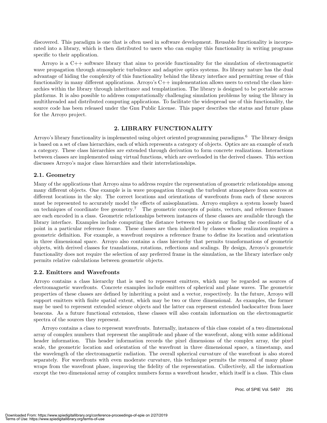discovered. This paradigm is one that is often used in software development. Reusable functionality is incorporated into a library, which is then distributed to users who can employ this functionality in writing programs specific to their application.

Arroyo is a C++ software library that aims to provide functionality for the simulation of electromagnetic wave propagation through atmospheric turbulence and adaptive optics systems. Its library nature has the dual advantage of hiding the complexity of this functionality behind the library interface and permitting reuse of this functionality in many different applications. Arroyo's C++ implementation allows users to extend the class hierarchies within the library through inheritance and templatization. The library is designed to be portable across platforms. It is also possible to address computationally challenging simulation problems by using the library in multithreaded and distributed computing applications. To facilitate the widespread use of this functionality, the source code has been released under the Gnu Public License. This paper describes the status and future plans for the Arroyo project.

#### **2. LIBRARY FUNCTIONALITY**

Arroyo's library functionality is implemented using object oriented programming paradigms.<sup>6</sup> The library design is based on a set of class hierarchies, each of which represents a category of objects. Optics are an example of such a category. These class hierarchies are extended through derivation to form concrete realizations. Interactions between classes are implemented using virtual functions, which are overloaded in the derived classes. This section discusses Arroyo's major class hierarchies and their interrelationships.

#### **2.1. Geometry**

Many of the applications that Arroyo aims to address require the representation of geometric relationships among many different objects. One example is in wave propagation through the turbulent atmosphere from sources at different locations in the sky. The correct locations and orientations of wavefronts from each of these sources must be represented to accurately model the effects of anisoplanatism. Arroyo employs a system loosely based on techniques of coordinate free geometry.<sup>7</sup> The geometric concepts of points, vectors, and reference frames are each encoded in a class. Geometric relationships between instances of these classes are available through the library interface. Examples include computing the distance between two points or finding the coordinate of a point in a particular reference frame. These classes are then inherited by classes whose realization requires a geometric definition. For example, a wavefront requires a reference frame to define its location and orientation in three dimensional space. Arroyo also contains a class hierarchy that permits transformations of geometric objects, with derived classes for translations, rotations, reflections and scalings. By design, Arroyo's geometric functionality does not require the selection of any preferred frame in the simulation, as the library interface only permits relative calculations between geometric objects.

#### **2.2. Emitters and Wavefronts**

Arroyo contains a class hierarchy that is used to represent emitters, which may be regarded as sources of electromagnetic wavefronts. Concrete examples include emitters of spherical and plane waves. The geometric properties of these classes are defined by inheriting a point and a vector, respectively. In the future, Arroyo will support emitters with finite spatial extent, which may be two or three dimensional. As examples, the former may be used to represent extended science objects and the latter can represent extended backscatter from laser beacons. As a future functional extension, these classes will also contain information on the electromagnetic spectra of the sources they represent.

Arroyo contains a class to represent wavefronts. Internally, instances of this class consist of a two dimensional array of complex numbers that represent the amplitude and phase of the wavefront, along with some additional header information. This header information records the pixel dimensions of the complex array, the pixel scale, the geometric location and orientation of the wavefront in three dimensional space, a timestamp, and the wavelength of the electromagnetic radiation. The overall spherical curvature of the wavefront is also stored separately. For wavefronts with even moderate curvature, this technique permits the removal of many phase wraps from the wavefront phase, improving the fidelity of the representation. Collectively, all the information except the two dimensional array of complex numbers forms a wavefront header, which itself is a class. This class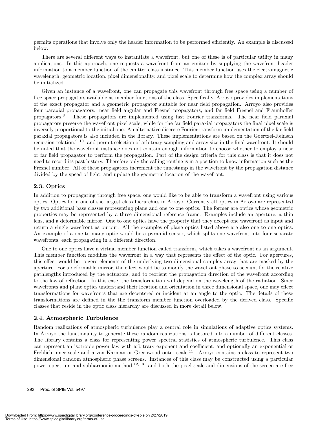permits operations that involve only the header information to be performed efficiently. An example is discussed below.

There are several different ways to instantiate a wavefront, but one of these is of particular utility in many applications. In this approach, one requests a wavefront from an emitter by supplying the wavefront header information to a member function of the emitter class instance. This member function uses the electromagnetic wavelength, geometric location, pixel dimensionality, and pixel scale to determine how the complex array should be initialized.

Given an instance of a wavefront, one can propagate this wavefront through free space using a number of free space propagators available as member functions of the class. Specifically, Arroyo provides implementations of the exact propagator and a geometric propagator suitable for near field propagation. Arroyo also provides four paraxial propagators: near field angular and Fresnel propagators, and far field Fresnel and Fraunhoffer propagators.<sup>8</sup> These propagators are implemented using fast Fourier transforms. The near field paraxial propagators preserve the wavefront pixel scale, while for the far field paraxial propagators the final pixel scale is inversely proportional to the initial one. An alternative discrete Fourier transform implementation of the far field paraxial propagators is also included in the library. These implementations are based on the Goertzel-Reinsch recursion relation,  $9,10$  and permit selection of arbitrary sampling and array size in the final wavefront. It should be noted that the wavefront instance does not contain enough information to choose whether to employ a near or far field propagator to perform the propagation. Part of the design criteria for this class is that it does not need to record its past history. Therefore only the calling routine is in a position to know information such as the Fresnel number. All of these propagators increment the timestamp in the wavefront by the propagation distance divided by the speed of light, and update the geometric location of the wavefront.

#### **2.3. Optics**

In addition to propagating through free space, one would like to be able to transform a wavefront using various optics. Optics form one of the largest class hierarchies in Arroyo. Currently all optics in Arroyo are represented by two additional base classes representing plane and one to one optics. The former are optics whose geometric properties may be represented by a three dimensional reference frame. Examples include an aperture, a thin lens, and a deformable mirror. One to one optics have the property that they accept one wavefront as input and return a single wavefront as output. All the examples of plane optics listed above are also one to one optics. An example of a one to many optic would be a pyramid sensor, which splits one wavefront into four separate wavefronts, each propagating in a different direction.

One to one optics have a virtual member function called transform, which takes a wavefront as an argument. This member function modifies the wavefront in a way that represents the effect of the optic. For apertures, this effect would be to zero elements of the underlying two dimensional complex array that are masked by the aperture. For a deformable mirror, the effect would be to modify the wavefront phase to account for the relative pathlengths introduced by the actuators, and to reorient the propagation direction of the wavefront according to the law of reflection. In this case, the transformation will depend on the wavelength of the radiation. Since wavefronts and plane optics understand their location and orientation in three dimensional space, one may effect transformations for wavefronts that are decentered or incident at an angle to the optic. The details of these transformations are defined in the the transform member function overloaded by the derived class. Specific classes that reside in the optic class hierarchy are discussed in more detail below.

#### **2.4. Atmospheric Turbulence**

Random realizations of atmospheric turbulence play a central role in simulations of adaptive optics systems. In Arroyo the functionality to generate these random realizations is factored into a number of different classes. The library contains a class for representing power spectral statistics of atmospheric turbulence. This class can represent an isotropic power law with arbitrary exponent and coefficient, and optionally an exponential or Frehlich inner scale and a von Karman or Greenwood outer scale.<sup>11</sup> Arroyo contains a class to represent two dimensional random atmospheric phase screens. Instances of this class may be constructed using a particular power spectrum and subharmonic method,<sup>12, 13</sup> and both the pixel scale and dimensions of the screen are free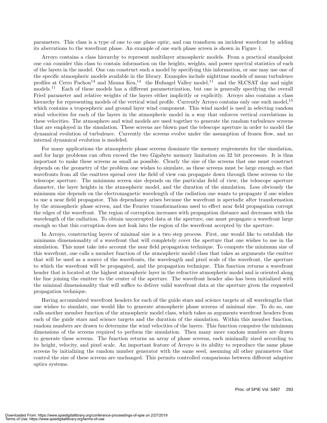parameters. This class is a type of one to one plane optic, and can transform an incident wavefront by adding its aberrations to the wavefront phase. An example of one such phase screen is shown in Figure 1.

Arroyo contains a class hierarchy to represent multilayer atmospheric models. From a practical standpoint one can consider this class to contain information on the heights, weights, and power spectral statistics of each of the layers in the model. One can construct such a model by specifying this information, or one may use one of the specific atmospheric models available in the library. Examples include nighttime models of mean turbulence profiles at Cerro Pachon<sup>14</sup> and Mauna Kea,<sup>14</sup> the Hufnagel Valley model,<sup>11</sup> and the SLCSAT day and night models.<sup>11</sup> Each of these models has a different parameterization, but one is generally specifying the overall Fried parameter and relative weights of the layers either implicitly or explicitly. Arroyo also contains a class hierarchy for representing models of the vertical wind profile. Currently Arroyo contains only one such model,<sup>15</sup> which contains a tropospheric and ground layer wind component. This wind model is used in selecting random wind velocities for each of the layers in the atmospheric model in a way that enforces vertical correlations in these velocities. The atmosphere and wind models are used together to generate the random turbulence screens that are employed in the simulation. These screens are blown past the telescope aperture in order to model the dynamical evolution of turbulence. Currently the screens evolve under the assumption of frozen flow, and no internal dynamical evolution is modeled.

For many applications the atmospheric phase screens dominate the memory reqirements for the simulation, and for large problems can often exceed the two Gigabyte memory limitation on 32 bit processors. It is thus important to make these screens as small as possible. Clearly the size of the screens that one must construct depends on the geometry of the problem one wishes to simulate, as these screens must be large enough so that wavefronts from all the emitters spread over the field of view can propagate down through these screens to the telescope aperture. The minimum screen size depends on the particular field of view, the telescope aperture diameter, the layer heights in the atmospheric model, and the duration of the simulation. Less obviously the minimum size depends on the electromagnetic wavelength of the radiation one wants to propagate if one wishes to use a near field propagator. This dependancy arises because the wavefront is aperiodic after transformation by the atmospheric phase screen, and the Fourier transformations used to effect near field propagation corrupt the edges of the wavefront. The region of corruption increases with propagation distance and decreases with the wavelength of the radiation. To obtain uncorrupted data at the aperture, one must propagate a wavefront large enough so that this corruption does not leak into the region of the wavefront accepted by the aperture.

In Arroyo, constructing layers of minimal size is a two step process. First, one would like to establish the minimum dimensionality of a wavefront that will completely cover the aperture that one wishes to use in the simulation. This must take into account the near field propagation technique. To compute the minimum size of this wavefront, one calls a member function of the atmospheric model class that takes as arguments the emitter that will be used as a source of the wavefronts, the wavelength and pixel scale of the wavefront, the aperture to which the wavefront will be propagated, and the propagation technique. This function returns a wavefront header that is located at the highest atmospheric layer in the refractive atmospheric model and is oriented along the line joining the emitter to the center of the aperture. The wavefront header also has been initialized with the minimal dimensionality that will suffice to deliver valid wavefront data at the aperture given the requested propagation technique.

Having accumulated wavefront headers for each of the guide stars and science targets at all wavelengths that one wishes to simulate, one would like to generate atmospheric phase screens of minimal size. To do so, one calls another member function of the atmospheric model class, which takes as arguments wavefront headers from each of the guide stars and science targets and the duration of the simulation. Within this member function, random numbers are drawn to determine the wind velocities of the layers. This function computes the minimum dimensions of the screens required to perform the simulation. Then many more random numbers are drawn to generate these screens. The function returns an array of phase screens, each minimally sized according to its height, velocity, and pixel scale. An important feature of Arroyo is its ability to reproduce the same phase screens by initializing the random number generator with the same seed, assuming all other parameters that control the size of these screens are unchanged. This permits controlled comparisons between different adaptive optics systems.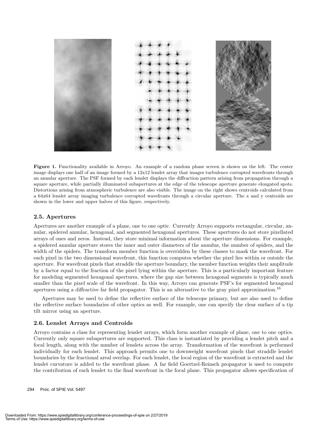

Figure 1. Functionality available in Arroyo. An example of a random phase screen is shown on the left. The center image displays one half of an image formed by a 12x12 lenslet array that images turbulence corrupted wavefronts through an annular aperture. The PSF formed by each lenslet displays the diffraction pattern arising from propagation through a square aperture, while partially illuminated subapertures at the edge of the telescope aperture generate elongated spots. Distortions arising from atmospheric turbulence are also visible. The image on the right shows centroids calculated from a 64x64 lenslet array imaging turbulence corrupted wavefronts through a circular aperture. The x and y centroids are shown in the lower and upper halves of this figure, respectively.

#### **2.5. Apertures**

Apertures are another example of a plane, one to one optic. Currently Arroyo supports rectangular, circular, annular, spidered annular, hexagonal, and segmented hexagonal apertures. These apertures do not store pixellated arrays of ones and zeros. Instead, they store minimal information about the aperture dimensions. For example, a spidered annular aperture stores the inner and outer diameters of the annulus, the number of spiders, and the width of the spiders. The transform member function is overridden by these classes to mask the wavefront. For each pixel in the two dimensional wavefront, this function computes whether the pixel lies within or outside the aperture. For wavefront pixels that straddle the aperture boundary, the member function weights their amplitude by a factor equal to the fraction of the pixel lying within the aperture. This is a particularly important feature for modeling segmented hexagonal apertures, where the gap size between hexagonal segments is typically much smaller than the pixel scale of the wavefront. In this way, Arroyo can generate PSF's for segmented hexagonal apertures using a diffractive far field propagator. This is an alternative to the gray pixel approximation.<sup>16</sup>

Apertures may be used to define the reflective surface of the telescope primary, but are also used to define the reflective surface boundaries of other optics as well. For example, one can specify the clear surface of a tip tilt mirror using an aperture.

#### **2.6. Lenslet Arrays and Centroids**

Arroyo contains a class for representing lenslet arrays, which form another example of plane, one to one optics. Currently only square subapertures are supported. This class is instantiated by providing a lenslet pitch and a focal length, along with the number of lenslets across the array. Transformation of the wavefront is performed individually for each lenslet. This approach permits one to downweight wavefront pixels that straddle lenslet boundaries by the fractional areal overlap. For each lenslet, the local region of the wavefront is extracted and the lenslet curvature is added to the wavefront phase. A far field Goertzel-Reinsch propagator is used to compute the contribution of each lenslet to the final wavefront in the focal plane. This propagator allows specification of

294 Proc. of SPIE Vol. 5497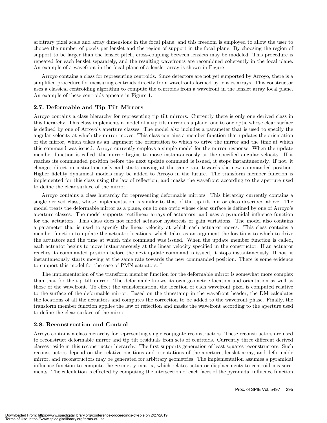arbitrary pixel scale and array dimensions in the focal plane, and this freedom is employed to allow the user to choose the number of pixels per lenslet and the region of support in the focal plane. By choosing the region of support to be larger than the lenslet pitch, cross-coupling between lenslets may be modeled. This procedure is repeated for each lenslet separately, and the resulting wavefronts are recombined coherently in the focal plane. An example of a wavefront in the focal plane of a lenslet array is shown in Figure 1.

Arroyo contains a class for representing centroids. Since detectors are not yet supported by Arroyo, there is a simplified procedure for measuring centroids directly from wavefronts formed by lenslet arrays. This constructor uses a classical centroiding algorithm to compute the centroids from a wavefront in the lenslet array focal plane. An example of these centroids appears in Figure 1.

#### **2.7. Deformable and Tip Tilt Mirrors**

Arroyo contains a class hierarchy for representing tip tilt mirrors. Currently there is only one derived class in this hierarchy. This class implements a model of a tip tilt mirror as a plane, one to one optic whose clear surface is defined by one of Arroyo's aperture classes. The model also includes a parameter that is used to specify the angular velocity at which the mirror moves. This class contains a member function that updates the orientation of the mirror, which takes as an argument the orientation to which to drive the mirror and the time at which this command was issued. Arroyo currently employs a simple model for the mirror response. When the update member function is called, the mirror begins to move instantaneously at the specified angular velocity. If it reaches its commanded position before the next update command is issued, it stops instantaneously. If not, it changes direction instantaneously and starts moving at the same rate towards the new commanded position. Higher fidelity dynamical models may be added to Arroyo in the future. The transform member function is implemented for this class using the law of reflection, and masks the wavefront according to the aperture used to define the clear surface of the mirror.

Arroyo contains a class hierarchy for representing deformable mirrors. This hierarchy currently contains a single derived class, whose implementation is similar to that of the tip tilt mirror class described above. The model treats the deformable mirror as a plane, one to one optic whose clear surface is defined by one of Arroyo's aperture classes. The model supports rectilinear arrays of actuators, and uses a pyramidal influence function for the actuators. This class does not model actuator hysteresis or gain variations. The model also contains a parameter that is used to specify the linear velocity at which each actuator moves. This class contains a member function to update the actuator locations, which takes as an argument the locations to which to drive the actuators and the time at which this command was issued. When the update member function is called, each actuator begins to move instantaneously at the linear velocity specified in the constructor. If an actuator reaches its commanded position before the next update command is issued, it stops instantaneously. If not, it instantaneously starts moving at the same rate towards the new commanded position. There is some evidence to support this model for the case of PMN actuators.<sup>17</sup>

The implementation of the transform member function for the deformable mirror is somewhat more complex than that for the tip tilt mirror. The deformable knows its own geometric location and orientation as well as those of the wavefront. To effect the transformation, the location of each wavefront pixel is computed relative to the surface of the deformable mirror. Based on the timestamp in the wavefront header, the DM calculates the locations of all the actuators and computes the correction to be added to the wavefront phase. Finally, the transform member function applies the law of reflection and masks the wavefront according to the aperture used to define the clear surface of the mirror.

#### **2.8. Reconstruction and Control**

Arroyo contains a class hierarchy for representing single conjugate reconstructors. These reconstructors are used to reconstruct deformable mirror and tip tilt residuals from sets of centroids. Currently three different derived classes reside in this reconstructor hierarchy. The first supports generation of least squares reconstructors. Such reconstructors depend on the relative positions and orientations of the aperture, lenslet array, and deformable mirror, and reconstructors may be generated for arbitrary geometries. The implementation assumes a pyramidal influence function to compute the geometry matrix, which relates actuator displacements to centroid measurements. The calculation is effected by computing the intersection of each facet of the pyramidal influence function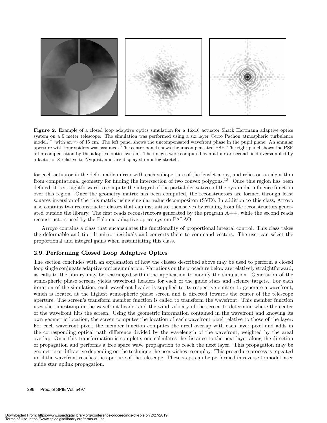

**Figure 2.** Example of a closed loop adaptive optics simulation for a 16x16 actuator Shack Hartmann adaptive optics system on a 5 meter telescope. The simulation was performed using a six layer Cerro Pachon atmospheric turbulence model,<sup>14</sup> with an  $r_0$  of 15 cm. The left panel shows the uncompensated wavefront phase in the pupil plane. An annular aperture with four spiders was assumed. The center panel shows the uncompensated PSF. The right panel shows the PSF after compensation by the adaptive optics system. The images were computed over a four arcsecond field oversampled by a factor of 8 relative to Nyquist, and are displayed on a log stretch.

for each actuator in the deformable mirror with each subaperture of the lenslet array, and relies on an algorithm from computational geometry for finding the intersection of two convex polygons.<sup>18</sup> Once this region has been defined, it is straightforward to compute the integral of the partial derivatives of the pyramidal influence function over this region. Once the geometry matrix has been computed, the reconstructors are formed through least squares inversion of the this matrix using singular value decompositon (SVD). In addition to this class, Arroyo also contains two reconstructor classes that can instantiate themselves by reading from file reconstructors generated outside the library. The first reads reconstructors generated by the program  $A++$ , while the second reads reconstructors used by the Palomar adaptive optics system PALAO.

Arroyo contains a class that encapsulates the functionality of proportional integral control. This class takes the deformable and tip tilt mirror residuals and converts them to command vectors. The user can select the proportional and integral gains when instantiating this class.

#### **2.9. Performing Closed Loop Adaptive Optics**

The section concludes with an explanation of how the classes described above may be used to perform a closed loop single conjugate adaptive optics simulation. Variations on the procedure below are relatively straightforward, as calls to the library may be rearranged within the application to modify the simulation. Generation of the atmospheric phase screens yields wavefront headers for each of the guide stars and science targets. For each iteration of the simulation, each wavefront header is supplied to its respective emitter to generate a wavefront, which is located at the highest atmospheric phase screen and is directed towards the center of the telescope aperture. The screen's transform member function is called to transform the wavefront. This member function uses the timestamp in the wavefront header and the wind velocity of the screen to determine where the center of the wavefront hits the screen. Using the geometric information contained in the wavefront and knowing its own geometric location, the screen computes the location of each wavefront pixel relative to those of the layer. For each wavefront pixel, the member function computes the areal overlap with each layer pixel and adds in the corresponding optical path difference divided by the wavelength of the wavefront, weighted by the areal overlap. Once this transformation is complete, one calculates the distance to the next layer along the direction of propagation and performs a free space wave propagation to reach the next layer. This propagation may be geometric or diffractive depending on the technique the user wishes to employ. This procedure process is repeated until the wavefront reaches the aperture of the telescope. These steps can be performed in reverse to model laser guide star uplink propagation.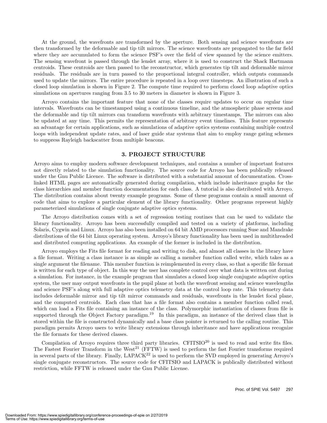At the ground, the wavefronts are transformed by the aperture. Both sensing and science wavefronts are then transformed by the deformable and tip tilt mirrors. The science wavefronts are propagated to the far field where they are accumulated to form the science PSF's over the field of view spanned by the science emitters. The sensing wavefront is passed through the lenslet array, where it is used to construct the Shack Hartmann centroids. These centroids are then passed to the reconstructor, which generates tip tilt and deformable mirror residuals. The residuals are in turn passed to the proportional integral controller, which outputs commands used to update the mirrors. The entire procedure is repeated in a loop over timesteps. An illustration of such a closed loop simulation is shown in Figure 2. The compute time required to perform closed loop adaptive optics simulations on apertures ranging from  $3.5$  to  $30$  meters in diameter is shown in Figure 3.

Arroyo contains the important feature that none of the classes require updates to occur on regular time intervals. Wavefronts can be timestamped using a continuous timeline, and the atmospheric phase screens and the deformable and tip tilt mirrors can transform wavefronts with arbitrary timestamps. The mirrors can also be updated at any time. This permits the representation of arbitrary event timelines. This feature represents an advantage for certain applications, such as simulations of adaptive optics systems containing multiple control loops with independent update rates, and of laser guide star systems that aim to employ range gating schemes to suppress Rayleigh backscatter from multiple beacons.

#### **3. PROJECT STRUCTURE**

Arroyo aims to employ modern software development techniques, and contains a number of important features not directly related to the simulation functionality. The source code for Arroyo has been publically released under the Gnu Public Licence. The software is distributed with a substantial amount of documentation. Crosslinked HTML pages are automatically generated during compilation, which include inheritance graphs for the class hierarchies and member function documentation for each class. A tutorial is also distributed with Arroyo. The distribution contains about twenty example programs. Some of these programs contain a small amount of code that aims to explore a particular element of the library functionality. Other programs represent highly parameterized simulations of single conjugate adaptive optics systems.

The Arroyo distribution comes with a set of regression testing routines that can be used to validate the library functionality. Arroyo has been successfully compiled and tested on a variety of platforms, including Solaris, Cygwin and Linux. Arroyo has also been installed on 64 bit AMD processors running Suse and Mandrake distributions of the 64 bit Linux operating system. Arroyo's library functionality has been used in multithreaded and distributed computing applications. An example of the former is included in the distribution.

Arroyo employs the Fits file format for reading and writing to disk, and almost all classes in the library have a file format. Writing a class instance is as simple as calling a member function called write, which takes as a single argument the filename. This member function is reimplemented in every class, so that a specific file format is written for each type of object. In this way the user has complete control over what data is written out during a simulation. For instance, in the example program that simulates a closed loop single conjugate adaptive optics system, the user may output wavefronts in the pupil plane at both the wavefront sensing and science wavelengths and science PSF's along with full adaptive optics telemetry data at the control loop rate. This telemetry data includes deformable mirror and tip tilt mirror commands and residuals, wavefronts in the lenslet focal plane, and the computed centroids. Each class that has a file format also contains a member function called read, which can load a Fits file containing an instance of the class. Polymorphic instantiation of classes from file is supported through the Object Factory paradigm.<sup>19</sup> In this paradigm, an instance of the derived class that is stored within the file is constructed dynamically and a base class pointer is returned to the calling routine. This paradigm permits Arroyo users to write library extensions through inheritance and have applications recognize the file formats for these derived classes.

Compilation of Arroyo requires three third party libraries. CFITSIO<sup>20</sup> is used to read and write fits files. The Fastest Fourier Transform in the West<sup>21</sup> (FFTW) is used to perform the fast Fourier transforms required in several parts of the library. Finally,  $LAPACK^{22}$  is used to perform the SVD employed in generating Arroyo's single conjugate reconstructors. The source code for CFITSIO and LAPACK is publically distributed without restriction, while FFTW is released under the Gnu Public License.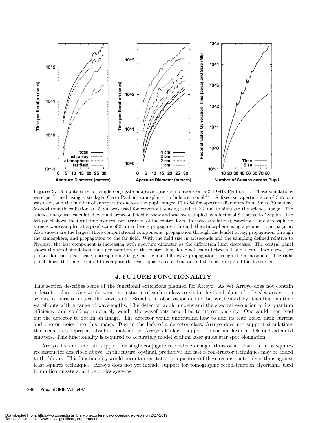

**Figure 3.** Compute time for single conjugate adaptive optics simulations on a 2.4 GHz Pentium 4. These simulations were performed using a six layer Cerro Pachon atmospheric turbulence model.<sup>14</sup> A fixed subaperture size of 35.7 cm was used, and the number of subapertures across the pupil ranged 10 to 84 for aperture diameters from 3.6 to 30 meters. Monochromatic radiation at .5  $\mu$ m was used for wavefront sensing, and at 2.2  $\mu$ m to simulate the science image. The science image was calculated over a 4 arcsecond field of view and was oversampled by a factor of 8 relative to Nyquist. The left panel shows the total time required per iteration of the control loop. In these simulations, wavefronts and atmospheric screens were sampled at a pixel scale of 2 cm and were propagated through the atmosphere using a geometric propagator. Also shown are the largest three computational components: propagation through the lenslet array, propagation through the atmosphere, and propagation to the far field. With the field size in arcseconds and the sampling defined relative to Nyquist, the last component is increasing with aperture diameter as the diffraction limit decreases. The central panel shows the total simulation time per iteration of the control loop for pixel scales between 1 and 4 cm. Two curves are plotted for each pixel scale, corresponding to geometric and diffractive propagation through the atmosphere. The right panel shows the time required to compute the least squares reconstructor and the space required for its storage.

#### **4. FUTURE FUNCTIONALITY**

This section describes some of the functional extensions planned for Arroyo. As yet Arroyo does not contain a detector class. One would want an instance of such a class to sit in the focal plane of a lenslet array or a science camera to detect the wavefront. Broadband observations could be synthesized by detecting multiple wavefronts with a range of wavelengths. The detector would understand the spectral evolution of its quantum efficiency, and could appropriately weight the wavefronts according to its responsivity. One could then read out the detector to obtain an image. The detector would understand how to add its read noise, dark current and photon noise into this image. Due to the lack of a detector class, Arroyo does not support simulations that accurately represent absolute photometry. Arroyo also lacks support for sodium layer models and extended emitters. This functionality is required to accurately model sodium laser guide star spot elongation.

Arroyo does not contain support for single conjugate reconstructor algorithms other than the least squares reconstructor described above. In the future, optimal, predictive and fast reconstructor techniques may be added to the library. This functionality would permit quantitative comparisons of these reconstructor algorithms against least squares techniques. Arroyo does not yet include support for tomographic reconstruction algorithms used in multiconjugate adaptive optics systems.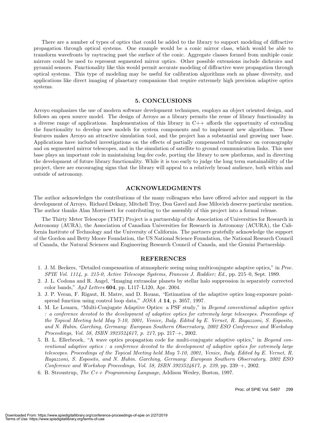There are a number of types of optics that could be added to the library to support modeling of diffractive propagation through optical systems. One example would be a conic mirror class, which would be able to transform wavefronts by raytracing past the surface of the conic. Aggregate classes formed from multiple conic mirrors could be used to represent segmented mirror optics. Other possible extensions include dichroics and pyramid sensors. Functionality like this would permit accurate modeling of diffractive wave propagation through optical systems. This type of modeling may be useful for calibration algorithms such as phase diversity, and applications like direct imaging of planetary companions that require extremely high precision adaptive optics systems.

#### **5. CONCLUSIONS**

Arroyo emphasizes the use of modern software development techniques, employs an object oriented design, and follows an open source model. The design of Arroyo as a library permits the reuse of library functionality in a diverse range of applications. Implementation of this library in  $C++$  affords the opportunity of extending the functionality to develop new models for system components and to implement new algorithms. These features makes Arroyo an attractive simulation tool, and the project has a substantial and growing user base. Applications have included investigations on the effects of partially compensated turbulence on coronography and on segmented mirror telescopes, and in the simulation of satellite to ground communication links. This user base plays an important role in maintaining bug-fee code, porting the library to new platforms, and in directing the development of future library functionality. While it is too early to judge the long term sustainability of the project, there are encouraging signs that the library will appeal to a relatively broad audience, both within and outside of astronomy.

#### **ACKNOWLEDGMENTS**

The author acknowledges the contributions of the many colleagues who have offered advice and support in the development of Arroyo. Richard Dekany, Mitchell Troy, Don Gavel and Jose Milovich deserve particular mention. The author thanks Alan Morrissett for contributing to the assembly of this project into a formal release.

The Thirty Meter Telescope (TMT) Project is a partnership of the Association of Universities for Research in Astronomy (AURA), the Association of Canadian Universities for Research in Astronomy (ACURA), the California Institute of Technology and the University of California. The partners gratefully acknowledge the support of the Gordon and Betty Moore Foundation, the US National Science Foundation, the National Research Council of Canada, the Natural Sciences and Engineering Research Council of Canada, and the Gemini Partnership.

#### **REFERENCES**

- 1. J. M. Beckers, "Detailed compensation of atmospheric seeing using multiconjugate adaptive optics," in *Proc. SPIE Vol. 1114, p. 215-0, Active Telescope Systems, Francois J. Roddier; Ed.*, pp. 215–0, Sept. 1989.
- 2. J. L. Codona and R. Angel, "Imaging extrasolar planets by stellar halo suppression in separately corrected color bands," *ApJ Letters* **604**, pp. L117–L120, Apr. 2004.
- 3. J. P. Veran, F. Rigaut, H. Matre, and D. Rouan, "Estimation of the adaptive optics long-exposure pointspread function using control loop data," *JOSA A* **14**, p. 3057, 1997.
- 4. M. Le Louarn, "Multi-Conjugate Adaptive Optics: a PSF study," in *Beyond conventional adaptive optics : a conference devoted to the development of adaptive optics for extremely large telescopes. Proceedings of the Topical Meeting held May 7-10, 2001, Venice, Italy. Edited by E. Vernet, R. Ragazzoni, S. Esposito, and N. Hubin. Garching, Germany: European Southern Observatory, 2002 ESO Conference and Workshop Proceedings, Vol. 58, ISBN 3923524617, p. 217*, pp. 217–+, 2002.
- 5. B. L. Ellerbroek, "A wave optics propagation code for multi-conjugate adaptive optics," in *Beyond conventional adaptive optics : a conference devoted to the development of adaptive optics for extremely large telescopes. Proceedings of the Topical Meeting held May 7-10, 2001, Venice, Italy. Edited by E. Vernet, R. Ragazzoni, S. Esposito, and N. Hubin. Garching, Germany: European Southern Observatory, 2002 ESO Conference and Workshop Proceedings, Vol. 58, ISBN 3923524617, p. 239*, pp. 239–+, 2002.
- 6. B. Stroustrup, *The C++ Programming Language*, Addison Wesley, Boston, 1997.